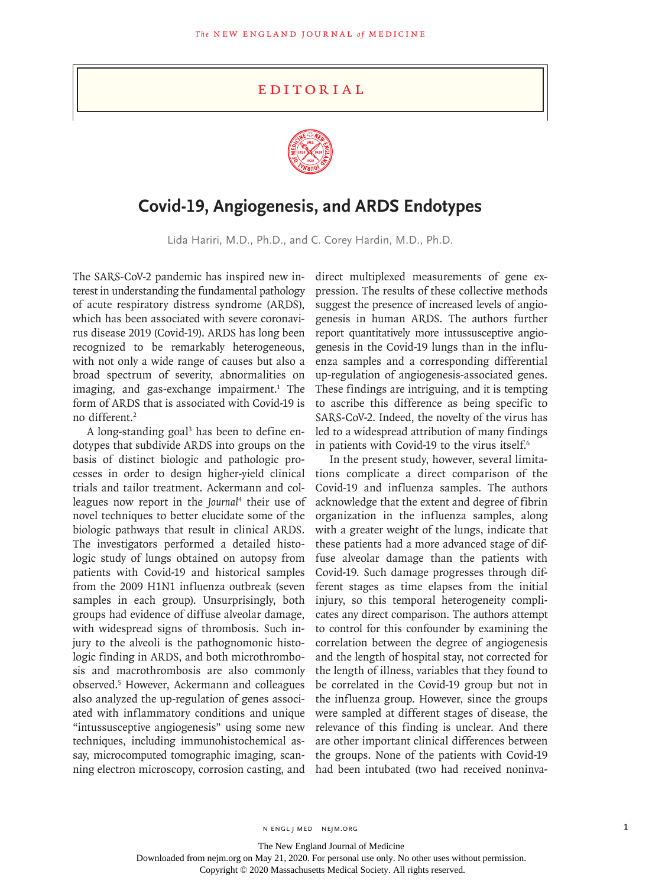## **EDITORIAL**



## **Covid-19, Angiogenesis, and ARDS Endotypes**

Lida Hariri, M.D., Ph.D., and C. Corey Hardin, M.D., Ph.D.

The SARS-CoV-2 pandemic has inspired new interest in understanding the fundamental pathology of acute respiratory distress syndrome (ARDS), which has been associated with severe coronavirus disease 2019 (Covid-19). ARDS has long been recognized to be remarkably heterogeneous, with not only a wide range of causes but also a broad spectrum of severity, abnormalities on imaging, and gas-exchange impairment.<sup>1</sup> The form of ARDS that is associated with Covid-19 is no different.2

A long-standing goal<sup>3</sup> has been to define endotypes that subdivide ARDS into groups on the basis of distinct biologic and pathologic processes in order to design higher-yield clinical trials and tailor treatment. Ackermann and colleagues now report in the *Journal*<sup>4</sup> their use of novel techniques to better elucidate some of the biologic pathways that result in clinical ARDS. The investigators performed a detailed histologic study of lungs obtained on autopsy from patients with Covid-19 and historical samples from the 2009 H1N1 influenza outbreak (seven samples in each group). Unsurprisingly, both groups had evidence of diffuse alveolar damage, with widespread signs of thrombosis. Such injury to the alveoli is the pathognomonic histologic finding in ARDS, and both microthrombosis and macrothrombosis are also commonly observed.5 However, Ackermann and colleagues also analyzed the up-regulation of genes associated with inflammatory conditions and unique "intussusceptive angiogenesis" using some new techniques, including immunohistochemical assay, microcomputed tomographic imaging, scanning electron microscopy, corrosion casting, and

direct multiplexed measurements of gene expression. The results of these collective methods suggest the presence of increased levels of angiogenesis in human ARDS. The authors further report quantitatively more intussusceptive angiogenesis in the Covid-19 lungs than in the influenza samples and a corresponding differential up-regulation of angiogenesis-associated genes. These findings are intriguing, and it is tempting to ascribe this difference as being specific to SARS-CoV-2. Indeed, the novelty of the virus has led to a widespread attribution of many findings in patients with Covid-19 to the virus itself.<sup>6</sup>

In the present study, however, several limitations complicate a direct comparison of the Covid-19 and influenza samples. The authors acknowledge that the extent and degree of fibrin organization in the influenza samples, along with a greater weight of the lungs, indicate that these patients had a more advanced stage of diffuse alveolar damage than the patients with Covid-19. Such damage progresses through different stages as time elapses from the initial injury, so this temporal heterogeneity complicates any direct comparison. The authors attempt to control for this confounder by examining the correlation between the degree of angiogenesis and the length of hospital stay, not corrected for the length of illness, variables that they found to be correlated in the Covid-19 group but not in the influenza group. However, since the groups were sampled at different stages of disease, the relevance of this finding is unclear. And there are other important clinical differences between the groups. None of the patients with Covid-19 had been intubated (two had received noninva-

The New England Journal of Medicine

Downloaded from nejm.org on May 21, 2020. For personal use only. No other uses without permission.

Copyright © 2020 Massachusetts Medical Society. All rights reserved.